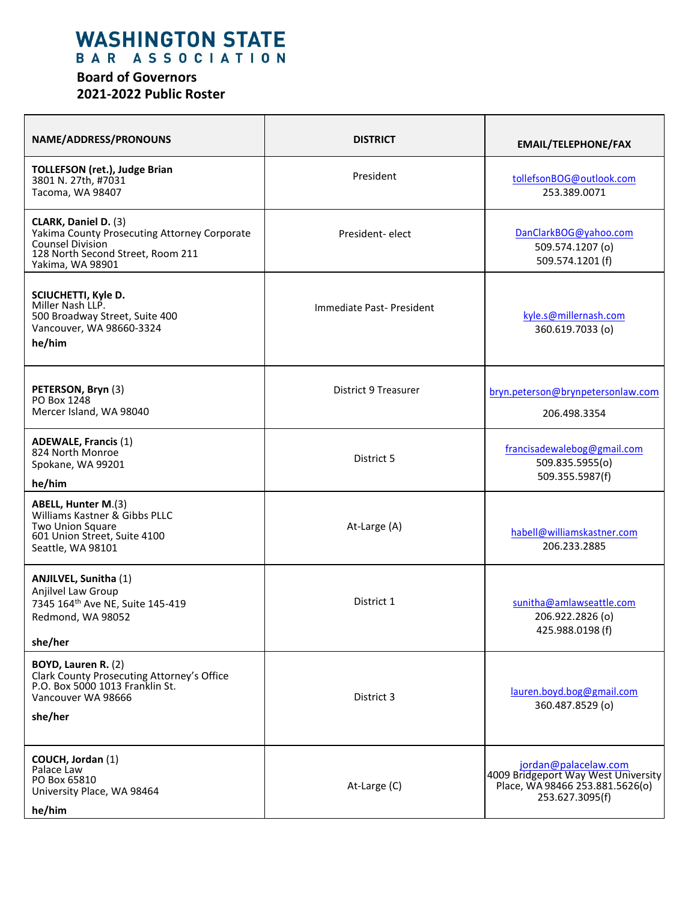## WASHINGTON STATE

## **Board of Governors 2021-2022 Public Roster**

| NAME/ADDRESS/PRONOUNS                                                                                                                             | <b>DISTRICT</b>          | <b>EMAIL/TELEPHONE/FAX</b>                                                                                        |
|---------------------------------------------------------------------------------------------------------------------------------------------------|--------------------------|-------------------------------------------------------------------------------------------------------------------|
| <b>TOLLEFSON (ret.), Judge Brian</b><br>3801 N. 27th, #7031<br>Tacoma, WA 98407                                                                   | President                | tollefsonBOG@outlook.com<br>253.389.0071                                                                          |
| CLARK, Daniel D. (3)<br>Yakima County Prosecuting Attorney Corporate<br>Counsel Division<br>128 North Second Street, Room 211<br>Yakima, WA 98901 | President-elect          | DanClarkBOG@yahoo.com<br>509.574.1207 (o)<br>509.574.1201 (f)                                                     |
| SCIUCHETTI, Kyle D.<br>Miller Nash LLP.<br>500 Broadway Street, Suite 400<br>Vancouver, WA 98660-3324<br>he/him                                   | Immediate Past-President | kyle.s@millernash.com<br>360.619.7033 (o)                                                                         |
| PETERSON, Bryn (3)<br>PO Box 1248<br>Mercer Island, WA 98040                                                                                      | District 9 Treasurer     | bryn.peterson@brynpetersonlaw.com<br>206.498.3354                                                                 |
| <b>ADEWALE, Francis (1)</b><br>824 North Monroe<br>Spokane, WA 99201<br>he/him                                                                    | District 5               | francisadewalebog@gmail.com<br>509.835.5955(o)<br>509.355.5987(f)                                                 |
| ABELL, Hunter M.(3)<br>Williams Kastner & Gibbs PLLC<br>Two Union Square<br>601 Union Street, Suite 4100<br>Seattle, WA 98101                     | At-Large (A)             | habell@williamskastner.com<br>206.233.2885                                                                        |
| <b>ANJILVEL, Sunitha (1)</b><br>Anjilvel Law Group<br>7345 164 <sup>th</sup> Ave NE, Suite 145-419<br>Redmond, WA 98052<br>she/her                | District 1               | sunitha@amlawseattle.com<br>206.922.2826 (o)<br>425.988.0198(f)                                                   |
| BOYD, Lauren R. (2)<br>Clark County Prosecuting Attorney's Office<br>P.O. Box 5000 1013 Franklin St.<br>Vancouver WA 98666<br>she/her             | District 3               | lauren.boyd.bog@gmail.com<br>360.487.8529 (o)                                                                     |
| COUCH, Jordan (1)<br>Palace Law<br>PO Box 65810<br>University Place, WA 98464<br>he/him                                                           | At-Large (C)             | jordan@palacelaw.com<br>4009 Bridgeport Way West University<br>Place, WA 98466 253.881.5626(o)<br>253.627.3095(f) |